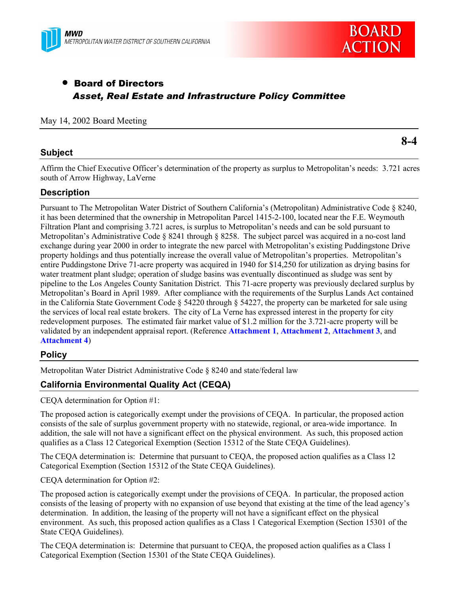



# • Board of Directors *Asset, Real Estate and Infrastructure Policy Committee*

### May 14, 2002 Board Meeting

### **Subject**

**8-4** 

Affirm the Chief Executive Officer's determination of the property as surplus to Metropolitan's needs: 3.721 acres south of Arrow Highway, LaVerne

## **Description**

Pursuant to The Metropolitan Water District of Southern Californiaís (Metropolitan) Administrative Code ß 8240, it has been determined that the ownership in Metropolitan Parcel 1415-2-100, located near the F.E. Weymouth Filtration Plant and comprising 3.721 acres, is surplus to Metropolitan's needs and can be sold pursuant to Metropolitan's Administrative Code  $\S 8241$  through  $\S 8258$ . The subject parcel was acquired in a no-cost land exchange during year 2000 in order to integrate the new parcel with Metropolitan's existing Puddingstone Drive property holdings and thus potentially increase the overall value of Metropolitan's properties. Metropolitan's entire Puddingstone Drive 71-acre property was acquired in 1940 for \$14,250 for utilization as drying basins for water treatment plant sludge; operation of sludge basins was eventually discontinued as sludge was sent by pipeline to the Los Angeles County Sanitation District. This 71-acre property was previously declared surplus by Metropolitanís Board in April 1989. After compliance with the requirements of the Surplus Lands Act contained in the California State Government Code  $\S$  54220 through  $\S$  54227, the property can be marketed for sale using the services of local real estate brokers. The city of La Verne has expressed interest in the property for city redevelopment purposes. The estimated fair market value of \$1.2 million for the 3.721-acre property will be validated by an independent appraisal report. (Reference **Attachment 1**, **Attachment 2**, **Attachment 3**, and **Attachment 4**)

## **Policy**

Metropolitan Water District Administrative Code ß 8240 and state/federal law

## **California Environmental Quality Act (CEQA)**

CEQA determination for Option #1:

The proposed action is categorically exempt under the provisions of CEQA. In particular, the proposed action consists of the sale of surplus government property with no statewide, regional, or area-wide importance. In addition, the sale will not have a significant effect on the physical environment. As such, this proposed action qualifies as a Class 12 Categorical Exemption (Section 15312 of the State CEQA Guidelines).

The CEQA determination is: Determine that pursuant to CEQA, the proposed action qualifies as a Class 12 Categorical Exemption (Section 15312 of the State CEQA Guidelines).

CEQA determination for Option #2:

The proposed action is categorically exempt under the provisions of CEQA. In particular, the proposed action consists of the leasing of property with no expansion of use beyond that existing at the time of the lead agencyís determination. In addition, the leasing of the property will not have a significant effect on the physical environment. As such, this proposed action qualifies as a Class 1 Categorical Exemption (Section 15301 of the State CEQA Guidelines).

The CEQA determination is: Determine that pursuant to CEQA, the proposed action qualifies as a Class 1 Categorical Exemption (Section 15301 of the State CEQA Guidelines).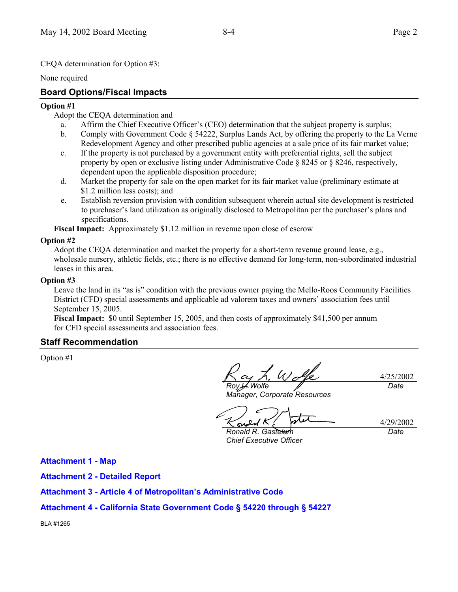CEQA determination for Option #3:

None required

## **Board Options/Fiscal Impacts**

### **Option #1**

Adopt the CEQA determination and

- a. Affirm the Chief Executive Officer's (CEO) determination that the subject property is surplus;
- b. Comply with Government Code ß 54222, Surplus Lands Act, by offering the property to the La Verne Redevelopment Agency and other prescribed public agencies at a sale price of its fair market value;
- c. If the property is not purchased by a government entity with preferential rights, sell the subject property by open or exclusive listing under Administrative Code  $\S$  8245 or  $\S$  8246, respectively, dependent upon the applicable disposition procedure;
- d. Market the property for sale on the open market for its fair market value (preliminary estimate at \$1.2 million less costs); and
- e. Establish reversion provision with condition subsequent wherein actual site development is restricted to purchaser's land utilization as originally disclosed to Metropolitan per the purchaser's plans and specifications.

**Fiscal Impact:** Approximately \$1.12 million in revenue upon close of escrow

## **Option #2**

Adopt the CEQA determination and market the property for a short-term revenue ground lease, e.g., wholesale nursery, athletic fields, etc.; there is no effective demand for long-term, non-subordinated industrial leases in this area.

### **Option #3**

Leave the land in its "as is" condition with the previous owner paying the Mello-Roos Community Facilities District (CFD) special assessments and applicable ad valorem taxes and owners' association fees until September 15, 2005.

**Fiscal Impact:** \$0 until September 15, 2005, and then costs of approximately \$41,500 per annum for CFD special assessments and association fees.

## **Staff Recommendation**

Option #1

4/25/2002 *Roy L. Wolfe Date*

*Manager, Corporate Resources*

*Ronald R. Gastelum*

4/29/2002 *Date*

*Chief Executive Officer*

**Attachment 1 - Map**

**Attachment 2 - Detailed Report**

**Attachment 3 - Article 4 of Metropolitanís Administrative Code**

## **Attachment 4 - California State Government Code ß 54220 through ß 54227**

BLA #1265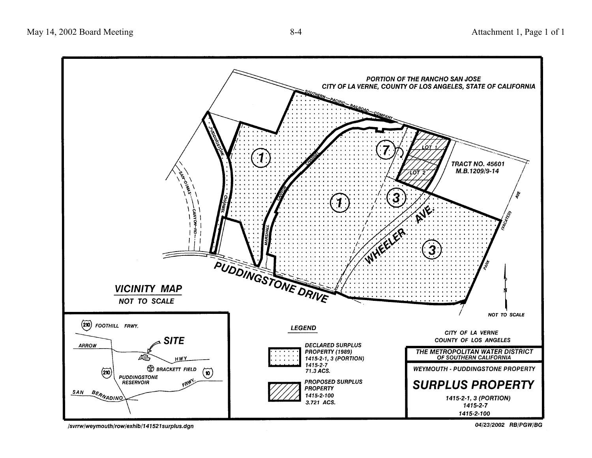

/svrrw/weymouth/row/exhib/141521surplus.dgn

04/23/2002 RB/PGW/BG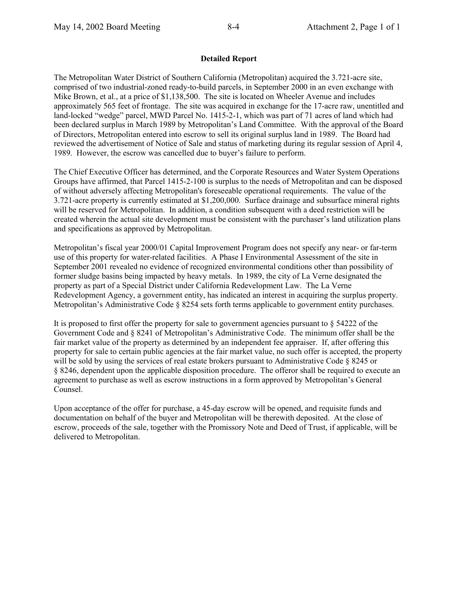### **Detailed Report**

The Metropolitan Water District of Southern California (Metropolitan) acquired the 3.721-acre site, comprised of two industrial-zoned ready-to-build parcels, in September 2000 in an even exchange with Mike Brown, et al., at a price of \$1,138,500. The site is located on Wheeler Avenue and includes approximately 565 feet of frontage. The site was acquired in exchange for the 17-acre raw, unentitled and land-locked "wedge" parcel, MWD Parcel No. 1415-2-1, which was part of 71 acres of land which had been declared surplus in March 1989 by Metropolitan's Land Committee. With the approval of the Board of Directors, Metropolitan entered into escrow to sell its original surplus land in 1989. The Board had reviewed the advertisement of Notice of Sale and status of marketing during its regular session of April 4, 1989. However, the escrow was cancelled due to buyer's failure to perform.

The Chief Executive Officer has determined, and the Corporate Resources and Water System Operations Groups have affirmed, that Parcel 1415-2-100 is surplus to the needs of Metropolitan and can be disposed of without adversely affecting Metropolitan's foreseeable operational requirements. The value of the 3.721-acre property is currently estimated at \$1,200,000. Surface drainage and subsurface mineral rights will be reserved for Metropolitan. In addition, a condition subsequent with a deed restriction will be created wherein the actual site development must be consistent with the purchaser's land utilization plans and specifications as approved by Metropolitan.

Metropolitanís fiscal year 2000/01 Capital Improvement Program does not specify any near- or far-term use of this property for water-related facilities. A Phase I Environmental Assessment of the site in September 2001 revealed no evidence of recognized environmental conditions other than possibility of former sludge basins being impacted by heavy metals. In 1989, the city of La Verne designated the property as part of a Special District under California Redevelopment Law. The La Verne Redevelopment Agency, a government entity, has indicated an interest in acquiring the surplus property. Metropolitan's Administrative Code § 8254 sets forth terms applicable to government entity purchases.

It is proposed to first offer the property for sale to government agencies pursuant to  $\S$  54222 of the Government Code and § 8241 of Metropolitan's Administrative Code. The minimum offer shall be the fair market value of the property as determined by an independent fee appraiser. If, after offering this property for sale to certain public agencies at the fair market value, no such offer is accepted, the property will be sold by using the services of real estate brokers pursuant to Administrative Code § 8245 or ß 8246, dependent upon the applicable disposition procedure. The offeror shall be required to execute an agreement to purchase as well as escrow instructions in a form approved by Metropolitan's General Counsel.

Upon acceptance of the offer for purchase, a 45-day escrow will be opened, and requisite funds and documentation on behalf of the buyer and Metropolitan will be therewith deposited. At the close of escrow, proceeds of the sale, together with the Promissory Note and Deed of Trust, if applicable, will be delivered to Metropolitan.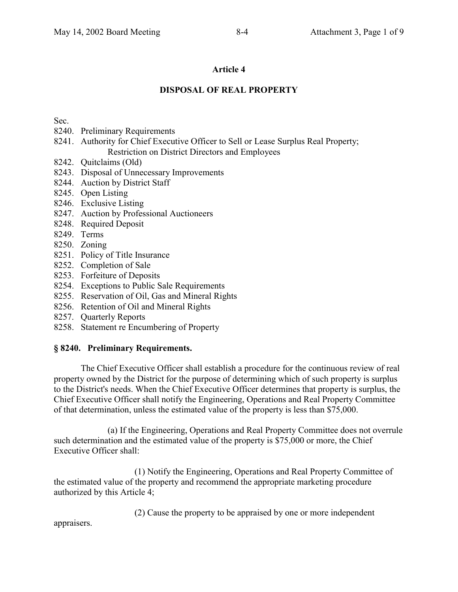# **Article 4**

# **DISPOSAL OF REAL PROPERTY**

Sec.

- 8240. Preliminary Requirements
- 8241. Authority for Chief Executive Officer to Sell or Lease Surplus Real Property; Restriction on District Directors and Employees
- 8242. Quitclaims (Old)
- 8243. Disposal of Unnecessary Improvements
- 8244. Auction by District Staff
- 8245. Open Listing
- 8246. Exclusive Listing
- 8247. Auction by Professional Auctioneers
- 8248. Required Deposit
- 8249. Terms
- 8250. Zoning
- 8251. Policy of Title Insurance
- 8252. Completion of Sale
- 8253. Forfeiture of Deposits
- 8254. Exceptions to Public Sale Requirements
- 8255. Reservation of Oil, Gas and Mineral Rights
- 8256. Retention of Oil and Mineral Rights
- 8257. Quarterly Reports
- 8258. Statement re Encumbering of Property

## **ß 8240. Preliminary Requirements.**

The Chief Executive Officer shall establish a procedure for the continuous review of real property owned by the District for the purpose of determining which of such property is surplus to the District's needs. When the Chief Executive Officer determines that property is surplus, the Chief Executive Officer shall notify the Engineering, Operations and Real Property Committee of that determination, unless the estimated value of the property is less than \$75,000.

(a) If the Engineering, Operations and Real Property Committee does not overrule such determination and the estimated value of the property is \$75,000 or more, the Chief Executive Officer shall:

(1) Notify the Engineering, Operations and Real Property Committee of the estimated value of the property and recommend the appropriate marketing procedure authorized by this Article 4;

(2) Cause the property to be appraised by one or more independent

appraisers.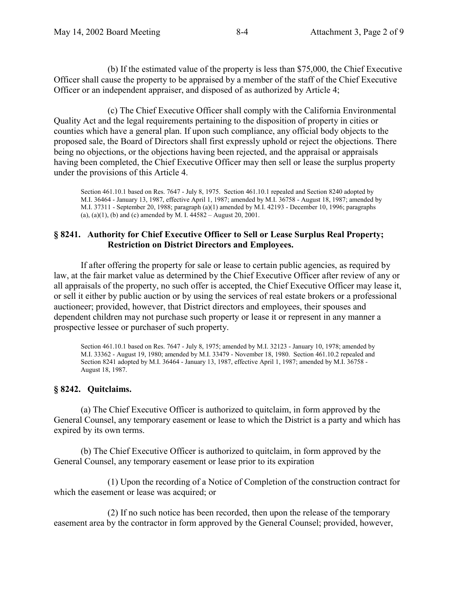(b) If the estimated value of the property is less than \$75,000, the Chief Executive Officer shall cause the property to be appraised by a member of the staff of the Chief Executive Officer or an independent appraiser, and disposed of as authorized by Article 4;

(c) The Chief Executive Officer shall comply with the California Environmental Quality Act and the legal requirements pertaining to the disposition of property in cities or counties which have a general plan. If upon such compliance, any official body objects to the proposed sale, the Board of Directors shall first expressly uphold or reject the objections. There being no objections, or the objections having been rejected, and the appraisal or appraisals having been completed, the Chief Executive Officer may then sell or lease the surplus property under the provisions of this Article 4.

Section 461.10.1 based on Res. 7647 - July 8, 1975. Section 461.10.1 repealed and Section 8240 adopted by M.I. 36464 - January 13, 1987, effective April 1, 1987; amended by M.I. 36758 - August 18, 1987; amended by M.I. 37311 - September 20, 1988; paragraph (a)(1) amended by M.I. 42193 - December 10, 1996; paragraphs (a), (a)(1), (b) and (c) amended by M. I.  $44582 -$ August 20, 2001.

## **ß 8241. Authority for Chief Executive Officer to Sell or Lease Surplus Real Property; Restriction on District Directors and Employees.**

If after offering the property for sale or lease to certain public agencies, as required by law, at the fair market value as determined by the Chief Executive Officer after review of any or all appraisals of the property, no such offer is accepted, the Chief Executive Officer may lease it, or sell it either by public auction or by using the services of real estate brokers or a professional auctioneer; provided, however, that District directors and employees, their spouses and dependent children may not purchase such property or lease it or represent in any manner a prospective lessee or purchaser of such property.

Section 461.10.1 based on Res. 7647 - July 8, 1975; amended by M.I. 32123 - January 10, 1978; amended by M.I. 33362 - August 19, 1980; amended by M.I. 33479 - November 18, 1980. Section 461.10.2 repealed and Section 8241 adopted by M.I. 36464 - January 13, 1987, effective April 1, 1987; amended by M.I. 36758 - August 18, 1987.

## **ß 8242. Quitclaims.**

(a) The Chief Executive Officer is authorized to quitclaim, in form approved by the General Counsel, any temporary easement or lease to which the District is a party and which has expired by its own terms.

(b) The Chief Executive Officer is authorized to quitclaim, in form approved by the General Counsel, any temporary easement or lease prior to its expiration

(1) Upon the recording of a Notice of Completion of the construction contract for which the easement or lease was acquired; or

(2) If no such notice has been recorded, then upon the release of the temporary easement area by the contractor in form approved by the General Counsel; provided, however,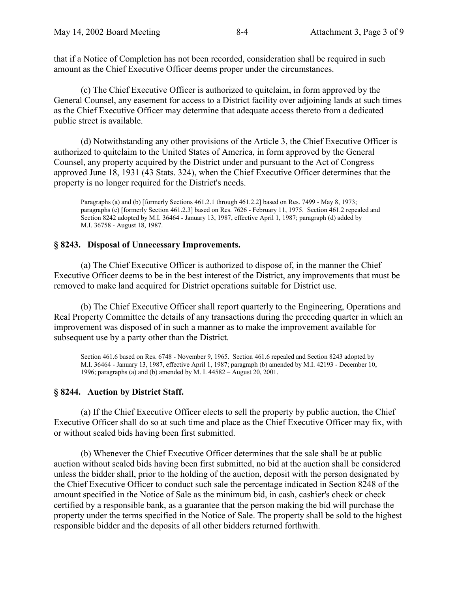that if a Notice of Completion has not been recorded, consideration shall be required in such amount as the Chief Executive Officer deems proper under the circumstances.

(c) The Chief Executive Officer is authorized to quitclaim, in form approved by the General Counsel, any easement for access to a District facility over adjoining lands at such times as the Chief Executive Officer may determine that adequate access thereto from a dedicated public street is available.

(d) Notwithstanding any other provisions of the Article 3, the Chief Executive Officer is authorized to quitclaim to the United States of America, in form approved by the General Counsel, any property acquired by the District under and pursuant to the Act of Congress approved June 18, 1931 (43 Stats. 324), when the Chief Executive Officer determines that the property is no longer required for the District's needs.

Paragraphs (a) and (b) [formerly Sections 461.2.1 through 461.2.2] based on Res. 7499 - May 8, 1973; paragraphs (c) [formerly Section 461.2.3] based on Res. 7626 - February 11, 1975. Section 461.2 repealed and Section 8242 adopted by M.I. 36464 - January 13, 1987, effective April 1, 1987; paragraph (d) added by M.I. 36758 - August 18, 1987.

## **ß 8243. Disposal of Unnecessary Improvements.**

(a) The Chief Executive Officer is authorized to dispose of, in the manner the Chief Executive Officer deems to be in the best interest of the District, any improvements that must be removed to make land acquired for District operations suitable for District use.

(b) The Chief Executive Officer shall report quarterly to the Engineering, Operations and Real Property Committee the details of any transactions during the preceding quarter in which an improvement was disposed of in such a manner as to make the improvement available for subsequent use by a party other than the District.

Section 461.6 based on Res. 6748 - November 9, 1965. Section 461.6 repealed and Section 8243 adopted by M.I. 36464 - January 13, 1987, effective April 1, 1987; paragraph (b) amended by M.I. 42193 - December 10, 1996; paragraphs (a) and (b) amended by M. I.  $44582 -$  August 20, 2001.

## **ß 8244. Auction by District Staff.**

(a) If the Chief Executive Officer elects to sell the property by public auction, the Chief Executive Officer shall do so at such time and place as the Chief Executive Officer may fix, with or without sealed bids having been first submitted.

(b) Whenever the Chief Executive Officer determines that the sale shall be at public auction without sealed bids having been first submitted, no bid at the auction shall be considered unless the bidder shall, prior to the holding of the auction, deposit with the person designated by the Chief Executive Officer to conduct such sale the percentage indicated in Section 8248 of the amount specified in the Notice of Sale as the minimum bid, in cash, cashier's check or check certified by a responsible bank, as a guarantee that the person making the bid will purchase the property under the terms specified in the Notice of Sale. The property shall be sold to the highest responsible bidder and the deposits of all other bidders returned forthwith.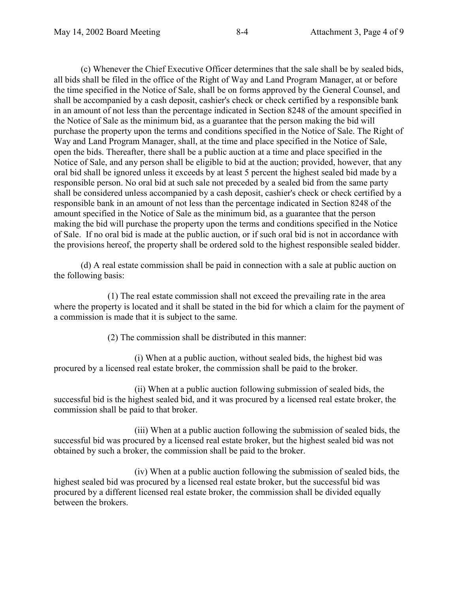(c) Whenever the Chief Executive Officer determines that the sale shall be by sealed bids, all bids shall be filed in the office of the Right of Way and Land Program Manager, at or before the time specified in the Notice of Sale, shall be on forms approved by the General Counsel, and shall be accompanied by a cash deposit, cashier's check or check certified by a responsible bank in an amount of not less than the percentage indicated in Section 8248 of the amount specified in the Notice of Sale as the minimum bid, as a guarantee that the person making the bid will purchase the property upon the terms and conditions specified in the Notice of Sale. The Right of Way and Land Program Manager, shall, at the time and place specified in the Notice of Sale, open the bids. Thereafter, there shall be a public auction at a time and place specified in the Notice of Sale, and any person shall be eligible to bid at the auction; provided, however, that any oral bid shall be ignored unless it exceeds by at least 5 percent the highest sealed bid made by a responsible person. No oral bid at such sale not preceded by a sealed bid from the same party shall be considered unless accompanied by a cash deposit, cashier's check or check certified by a responsible bank in an amount of not less than the percentage indicated in Section 8248 of the amount specified in the Notice of Sale as the minimum bid, as a guarantee that the person making the bid will purchase the property upon the terms and conditions specified in the Notice of Sale. If no oral bid is made at the public auction, or if such oral bid is not in accordance with the provisions hereof, the property shall be ordered sold to the highest responsible sealed bidder.

(d) A real estate commission shall be paid in connection with a sale at public auction on the following basis:

(1) The real estate commission shall not exceed the prevailing rate in the area where the property is located and it shall be stated in the bid for which a claim for the payment of a commission is made that it is subject to the same.

(2) The commission shall be distributed in this manner:

(i) When at a public auction, without sealed bids, the highest bid was procured by a licensed real estate broker, the commission shall be paid to the broker.

(ii) When at a public auction following submission of sealed bids, the successful bid is the highest sealed bid, and it was procured by a licensed real estate broker, the commission shall be paid to that broker.

(iii) When at a public auction following the submission of sealed bids, the successful bid was procured by a licensed real estate broker, but the highest sealed bid was not obtained by such a broker, the commission shall be paid to the broker.

(iv) When at a public auction following the submission of sealed bids, the highest sealed bid was procured by a licensed real estate broker, but the successful bid was procured by a different licensed real estate broker, the commission shall be divided equally between the brokers.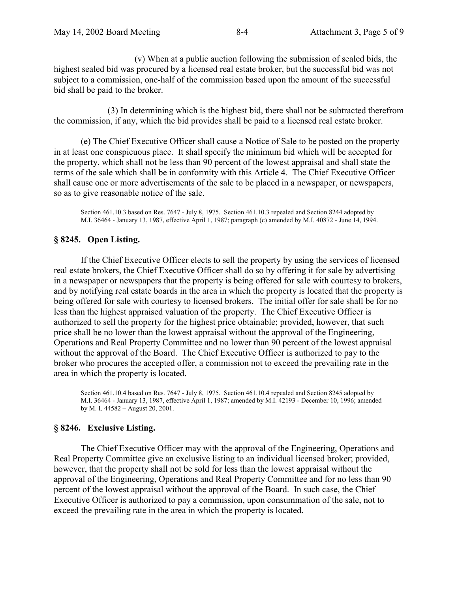(v) When at a public auction following the submission of sealed bids, the highest sealed bid was procured by a licensed real estate broker, but the successful bid was not subject to a commission, one-half of the commission based upon the amount of the successful bid shall be paid to the broker.

(3) In determining which is the highest bid, there shall not be subtracted therefrom the commission, if any, which the bid provides shall be paid to a licensed real estate broker.

(e) The Chief Executive Officer shall cause a Notice of Sale to be posted on the property in at least one conspicuous place. It shall specify the minimum bid which will be accepted for the property, which shall not be less than 90 percent of the lowest appraisal and shall state the terms of the sale which shall be in conformity with this Article 4. The Chief Executive Officer shall cause one or more advertisements of the sale to be placed in a newspaper, or newspapers, so as to give reasonable notice of the sale.

Section 461.10.3 based on Res. 7647 - July 8, 1975. Section 461.10.3 repealed and Section 8244 adopted by M.I. 36464 - January 13, 1987, effective April 1, 1987; paragraph (c) amended by M.I. 40872 - June 14, 1994.

### **ß 8245. Open Listing.**

If the Chief Executive Officer elects to sell the property by using the services of licensed real estate brokers, the Chief Executive Officer shall do so by offering it for sale by advertising in a newspaper or newspapers that the property is being offered for sale with courtesy to brokers, and by notifying real estate boards in the area in which the property is located that the property is being offered for sale with courtesy to licensed brokers. The initial offer for sale shall be for no less than the highest appraised valuation of the property. The Chief Executive Officer is authorized to sell the property for the highest price obtainable; provided, however, that such price shall be no lower than the lowest appraisal without the approval of the Engineering, Operations and Real Property Committee and no lower than 90 percent of the lowest appraisal without the approval of the Board. The Chief Executive Officer is authorized to pay to the broker who procures the accepted offer, a commission not to exceed the prevailing rate in the area in which the property is located.

Section 461.10.4 based on Res. 7647 - July 8, 1975. Section 461.10.4 repealed and Section 8245 adopted by M.I. 36464 - January 13, 1987, effective April 1, 1987; amended by M.I. 42193 - December 10, 1996; amended by M. I.  $44582 -$  August 20, 2001.

### **ß 8246. Exclusive Listing.**

The Chief Executive Officer may with the approval of the Engineering, Operations and Real Property Committee give an exclusive listing to an individual licensed broker; provided, however, that the property shall not be sold for less than the lowest appraisal without the approval of the Engineering, Operations and Real Property Committee and for no less than 90 percent of the lowest appraisal without the approval of the Board. In such case, the Chief Executive Officer is authorized to pay a commission, upon consummation of the sale, not to exceed the prevailing rate in the area in which the property is located.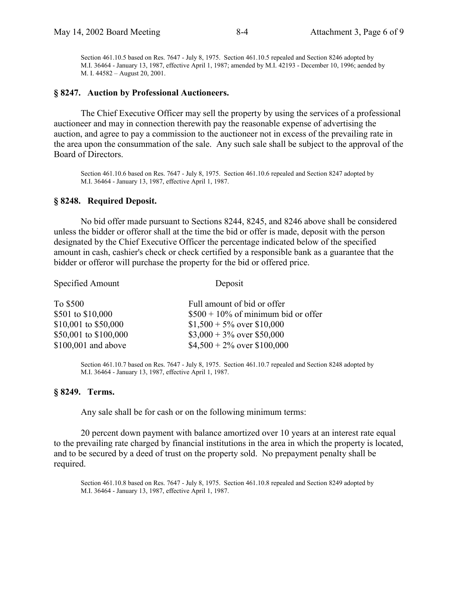Section 461.10.5 based on Res. 7647 - July 8, 1975. Section 461.10.5 repealed and Section 8246 adopted by M.I. 36464 - January 13, 1987, effective April 1, 1987; amended by M.I. 42193 - December 10, 1996; aended by M. I. 44582 – August 20, 2001.

### **ß 8247. Auction by Professional Auctioneers.**

The Chief Executive Officer may sell the property by using the services of a professional auctioneer and may in connection therewith pay the reasonable expense of advertising the auction, and agree to pay a commission to the auctioneer not in excess of the prevailing rate in the area upon the consummation of the sale. Any such sale shall be subject to the approval of the Board of Directors.

Section 461.10.6 based on Res. 7647 - July 8, 1975. Section 461.10.6 repealed and Section 8247 adopted by M.I. 36464 - January 13, 1987, effective April 1, 1987.

### **ß 8248. Required Deposit.**

No bid offer made pursuant to Sections 8244, 8245, and 8246 above shall be considered unless the bidder or offeror shall at the time the bid or offer is made, deposit with the person designated by the Chief Executive Officer the percentage indicated below of the specified amount in cash, cashier's check or check certified by a responsible bank as a guarantee that the bidder or offeror will purchase the property for the bid or offered price.

Specified Amount Deposit

| To \$500              | Full amount of bid or offer           |
|-----------------------|---------------------------------------|
| \$501 to \$10,000     | $$500 + 10\%$ of minimum bid or offer |
| \$10,001 to \$50,000  | $$1,500 + 5\%$ over \$10,000          |
| \$50,001 to \$100,000 | $$3,000 + 3\%$ over \$50,000          |
| \$100,001 and above   | $$4,500 + 2\%$ over \$100,000         |
|                       |                                       |

Section 461.10.7 based on Res. 7647 - July 8, 1975. Section 461.10.7 repealed and Section 8248 adopted by M.I. 36464 - January 13, 1987, effective April 1, 1987.

#### **ß 8249. Terms.**

Any sale shall be for cash or on the following minimum terms:

20 percent down payment with balance amortized over 10 years at an interest rate equal to the prevailing rate charged by financial institutions in the area in which the property is located, and to be secured by a deed of trust on the property sold. No prepayment penalty shall be required.

Section 461.10.8 based on Res. 7647 - July 8, 1975. Section 461.10.8 repealed and Section 8249 adopted by M.I. 36464 - January 13, 1987, effective April 1, 1987.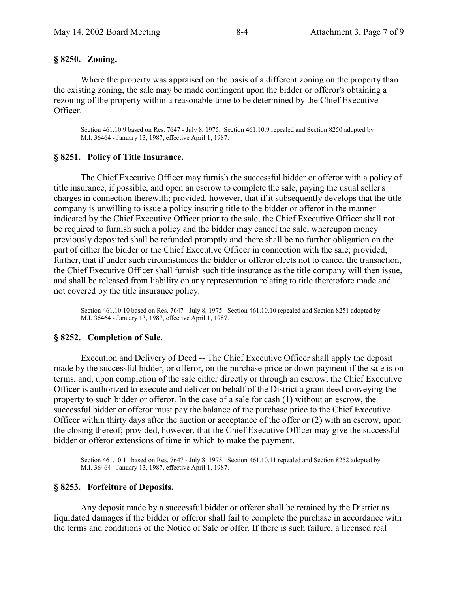## **ß 8250. Zoning.**

Where the property was appraised on the basis of a different zoning on the property than the existing zoning, the sale may be made contingent upon the bidder or offeror's obtaining a rezoning of the property within a reasonable time to be determined by the Chief Executive Officer.

Section 461.10.9 based on Res. 7647 - July 8, 1975. Section 461.10.9 repealed and Section 8250 adopted by M.I. 36464 - January 13, 1987, effective April 1, 1987.

## **ß 8251. Policy of Title Insurance.**

The Chief Executive Officer may furnish the successful bidder or offeror with a policy of title insurance, if possible, and open an escrow to complete the sale, paying the usual seller's charges in connection therewith; provided, however, that if it subsequently develops that the title company is unwilling to issue a policy insuring title to the bidder or offeror in the manner indicated by the Chief Executive Officer prior to the sale, the Chief Executive Officer shall not be required to furnish such a policy and the bidder may cancel the sale; whereupon money previously deposited shall be refunded promptly and there shall be no further obligation on the part of either the bidder or the Chief Executive Officer in connection with the sale; provided, further, that if under such circumstances the bidder or offeror elects not to cancel the transaction, the Chief Executive Officer shall furnish such title insurance as the title company will then issue, and shall be released from liability on any representation relating to title theretofore made and not covered by the title insurance policy.

Section 461.10.10 based on Res. 7647 - July 8, 1975. Section 461.10.10 repealed and Section 8251 adopted by M.I. 36464 - January 13, 1987, effective April 1, 1987.

## **ß 8252. Completion of Sale.**

Execution and Delivery of Deed -- The Chief Executive Officer shall apply the deposit made by the successful bidder, or offeror, on the purchase price or down payment if the sale is on terms, and, upon completion of the sale either directly or through an escrow, the Chief Executive Officer is authorized to execute and deliver on behalf of the District a grant deed conveying the property to such bidder or offeror. In the case of a sale for cash (1) without an escrow, the successful bidder or offeror must pay the balance of the purchase price to the Chief Executive Officer within thirty days after the auction or acceptance of the offer or (2) with an escrow, upon the closing thereof; provided, however, that the Chief Executive Officer may give the successful bidder or offeror extensions of time in which to make the payment.

Section 461.10.11 based on Res. 7647 - July 8, 1975. Section 461.10.11 repealed and Section 8252 adopted by M.I. 36464 - January 13, 1987, effective April 1, 1987.

## **ß 8253. Forfeiture of Deposits.**

Any deposit made by a successful bidder or offeror shall be retained by the District as liquidated damages if the bidder or offeror shall fail to complete the purchase in accordance with the terms and conditions of the Notice of Sale or offer. If there is such failure, a licensed real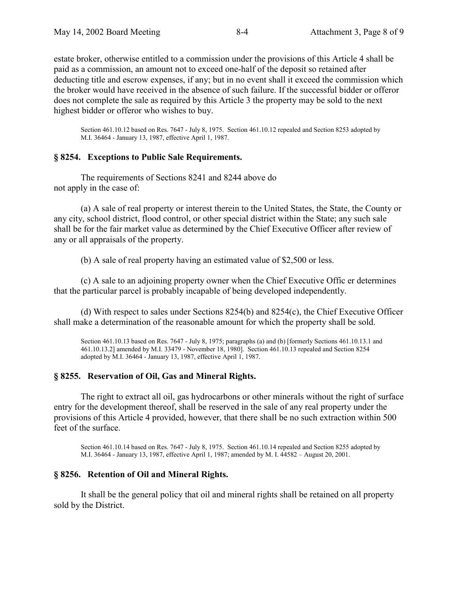estate broker, otherwise entitled to a commission under the provisions of this Article 4 shall be paid as a commission, an amount not to exceed one-half of the deposit so retained after deducting title and escrow expenses, if any; but in no event shall it exceed the commission which the broker would have received in the absence of such failure. If the successful bidder or offeror does not complete the sale as required by this Article 3 the property may be sold to the next highest bidder or offeror who wishes to buy.

Section 461.10.12 based on Res. 7647 - July 8, 1975. Section 461.10.12 repealed and Section 8253 adopted by M.I. 36464 - January 13, 1987, effective April 1, 1987.

### **ß 8254. Exceptions to Public Sale Requirements.**

The requirements of Sections 8241 and 8244 above do not apply in the case of:

(a) A sale of real property or interest therein to the United States, the State, the County or any city, school district, flood control, or other special district within the State; any such sale shall be for the fair market value as determined by the Chief Executive Officer after review of any or all appraisals of the property.

(b) A sale of real property having an estimated value of \$2,500 or less.

(c) A sale to an adjoining property owner when the Chief Executive Offic er determines that the particular parcel is probably incapable of being developed independently.

(d) With respect to sales under Sections 8254(b) and 8254(c), the Chief Executive Officer shall make a determination of the reasonable amount for which the property shall be sold.

Section 461.10.13 based on Res. 7647 - July 8, 1975; paragraphs (a) and (b) [formerly Sections 461.10.13.1 and 461.10.13.2] amended by M.I. 33479 - November 18, 1980]. Section 461.10.13 repealed and Section 8254 adopted by M.I. 36464 - January 13, 1987, effective April 1, 1987.

## **ß 8255. Reservation of Oil, Gas and Mineral Rights.**

The right to extract all oil, gas hydrocarbons or other minerals without the right of surface entry for the development thereof, shall be reserved in the sale of any real property under the provisions of this Article 4 provided, however, that there shall be no such extraction within 500 feet of the surface.

Section 461.10.14 based on Res. 7647 - July 8, 1975. Section 461.10.14 repealed and Section 8255 adopted by M.I. 36464 - January 13, 1987, effective April 1, 1987; amended by M. I. 44582 - August 20, 2001.

### **ß 8256. Retention of Oil and Mineral Rights.**

It shall be the general policy that oil and mineral rights shall be retained on all property sold by the District.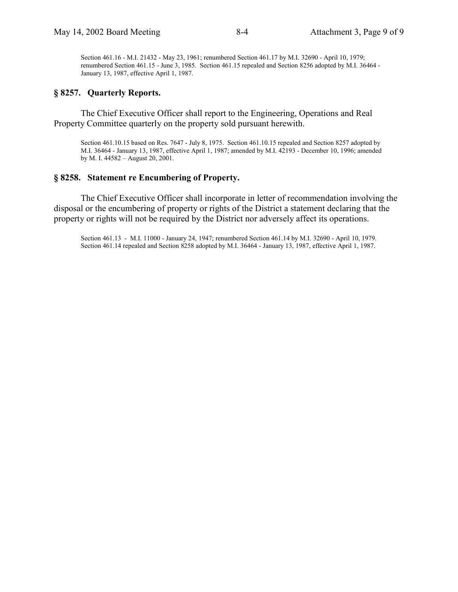Section 461.16 - M.I. 21432 - May 23, 1961; renumbered Section 461.17 by M.I. 32690 - April 10, 1979; renumbered Section 461.15 - June 3, 1985. Section 461.15 repealed and Section 8256 adopted by M.I. 36464 - January 13, 1987, effective April 1, 1987.

#### **ß 8257. Quarterly Reports.**

The Chief Executive Officer shall report to the Engineering, Operations and Real Property Committee quarterly on the property sold pursuant herewith.

Section 461.10.15 based on Res. 7647 - July 8, 1975. Section 461.10.15 repealed and Section 8257 adopted by M.I. 36464 - January 13, 1987, effective April 1, 1987; amended by M.I. 42193 - December 10, 1996; amended by M. I.  $44582 -$  August 20, 2001.

#### **ß 8258. Statement re Encumbering of Property.**

The Chief Executive Officer shall incorporate in letter of recommendation involving the disposal or the encumbering of property or rights of the District a statement declaring that the property or rights will not be required by the District nor adversely affect its operations.

Section 461.13 - M.I. 11000 - January 24, 1947; renumbered Section 461.14 by M.I. 32690 - April 10, 1979. Section 461.14 repealed and Section 8258 adopted by M.I. 36464 - January 13, 1987, effective April 1, 1987.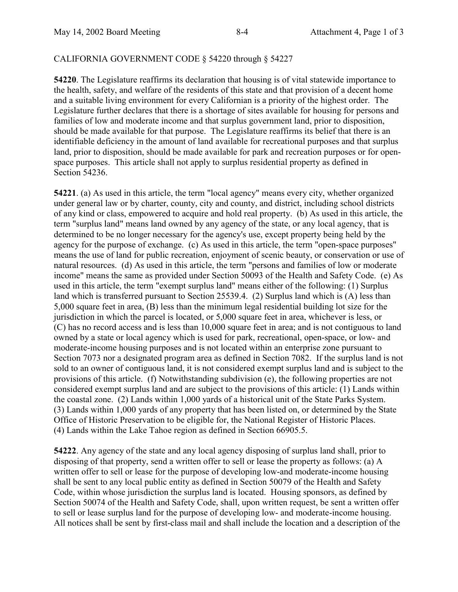## CALIFORNIA GOVERNMENT CODE ß 54220 through ß 54227

**54220**. The Legislature reaffirms its declaration that housing is of vital statewide importance to the health, safety, and welfare of the residents of this state and that provision of a decent home and a suitable living environment for every Californian is a priority of the highest order. The Legislature further declares that there is a shortage of sites available for housing for persons and families of low and moderate income and that surplus government land, prior to disposition, should be made available for that purpose. The Legislature reaffirms its belief that there is an identifiable deficiency in the amount of land available for recreational purposes and that surplus land, prior to disposition, should be made available for park and recreation purposes or for openspace purposes. This article shall not apply to surplus residential property as defined in Section 54236.

**54221**. (a) As used in this article, the term "local agency" means every city, whether organized under general law or by charter, county, city and county, and district, including school districts of any kind or class, empowered to acquire and hold real property. (b) As used in this article, the term "surplus land" means land owned by any agency of the state, or any local agency, that is determined to be no longer necessary for the agency's use, except property being held by the agency for the purpose of exchange. (c) As used in this article, the term "open-space purposes" means the use of land for public recreation, enjoyment of scenic beauty, or conservation or use of natural resources. (d) As used in this article, the term "persons and families of low or moderate income" means the same as provided under Section 50093 of the Health and Safety Code. (e) As used in this article, the term "exempt surplus land" means either of the following: (1) Surplus land which is transferred pursuant to Section 25539.4. (2) Surplus land which is (A) less than 5,000 square feet in area, (B) less than the minimum legal residential building lot size for the jurisdiction in which the parcel is located, or 5,000 square feet in area, whichever is less, or (C) has no record access and is less than 10,000 square feet in area; and is not contiguous to land owned by a state or local agency which is used for park, recreational, open-space, or low- and moderate-income housing purposes and is not located within an enterprise zone pursuant to Section 7073 nor a designated program area as defined in Section 7082. If the surplus land is not sold to an owner of contiguous land, it is not considered exempt surplus land and is subject to the provisions of this article. (f) Notwithstanding subdivision (e), the following properties are not considered exempt surplus land and are subject to the provisions of this article: (1) Lands within the coastal zone. (2) Lands within 1,000 yards of a historical unit of the State Parks System. (3) Lands within 1,000 yards of any property that has been listed on, or determined by the State Office of Historic Preservation to be eligible for, the National Register of Historic Places. (4) Lands within the Lake Tahoe region as defined in Section 66905.5.

**54222**. Any agency of the state and any local agency disposing of surplus land shall, prior to disposing of that property, send a written offer to sell or lease the property as follows: (a) A written offer to sell or lease for the purpose of developing low-and moderate-income housing shall be sent to any local public entity as defined in Section 50079 of the Health and Safety Code, within whose jurisdiction the surplus land is located. Housing sponsors, as defined by Section 50074 of the Health and Safety Code, shall, upon written request, be sent a written offer to sell or lease surplus land for the purpose of developing low- and moderate-income housing. All notices shall be sent by first-class mail and shall include the location and a description of the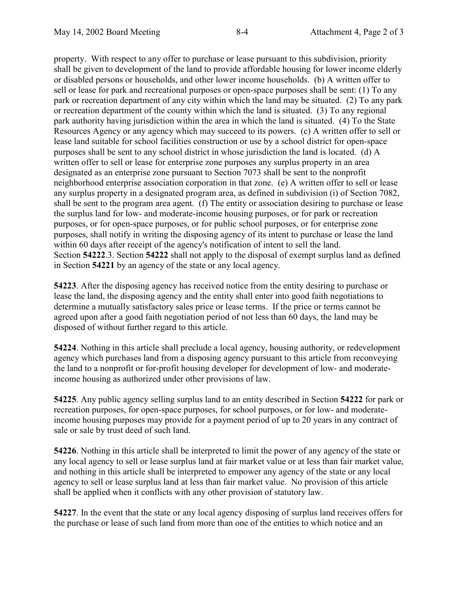property. With respect to any offer to purchase or lease pursuant to this subdivision, priority shall be given to development of the land to provide affordable housing for lower income elderly or disabled persons or households, and other lower income households. (b) A written offer to sell or lease for park and recreational purposes or open-space purposes shall be sent: (1) To any park or recreation department of any city within which the land may be situated. (2) To any park or recreation department of the county within which the land is situated. (3) To any regional park authority having jurisdiction within the area in which the land is situated. (4) To the State Resources Agency or any agency which may succeed to its powers. (c) A written offer to sell or lease land suitable for school facilities construction or use by a school district for open-space purposes shall be sent to any school district in whose jurisdiction the land is located. (d) A written offer to sell or lease for enterprise zone purposes any surplus property in an area designated as an enterprise zone pursuant to Section 7073 shall be sent to the nonprofit neighborhood enterprise association corporation in that zone. (e) A written offer to sell or lease any surplus property in a designated program area, as defined in subdivision (i) of Section 7082, shall be sent to the program area agent. (f) The entity or association desiring to purchase or lease the surplus land for low- and moderate-income housing purposes, or for park or recreation purposes, or for open-space purposes, or for public school purposes, or for enterprise zone purposes, shall notify in writing the disposing agency of its intent to purchase or lease the land within 60 days after receipt of the agency's notification of intent to sell the land. Section **54222**.3. Section **54222** shall not apply to the disposal of exempt surplus land as defined in Section **54221** by an agency of the state or any local agency.

**54223**. After the disposing agency has received notice from the entity desiring to purchase or lease the land, the disposing agency and the entity shall enter into good faith negotiations to determine a mutually satisfactory sales price or lease terms. If the price or terms cannot be agreed upon after a good faith negotiation period of not less than 60 days, the land may be disposed of without further regard to this article.

**54224**. Nothing in this article shall preclude a local agency, housing authority, or redevelopment agency which purchases land from a disposing agency pursuant to this article from reconveying the land to a nonprofit or for-profit housing developer for development of low- and moderateincome housing as authorized under other provisions of law.

**54225**. Any public agency selling surplus land to an entity described in Section **54222** for park or recreation purposes, for open-space purposes, for school purposes, or for low- and moderateincome housing purposes may provide for a payment period of up to 20 years in any contract of sale or sale by trust deed of such land.

**54226**. Nothing in this article shall be interpreted to limit the power of any agency of the state or any local agency to sell or lease surplus land at fair market value or at less than fair market value, and nothing in this article shall be interpreted to empower any agency of the state or any local agency to sell or lease surplus land at less than fair market value. No provision of this article shall be applied when it conflicts with any other provision of statutory law.

**54227**. In the event that the state or any local agency disposing of surplus land receives offers for the purchase or lease of such land from more than one of the entities to which notice and an